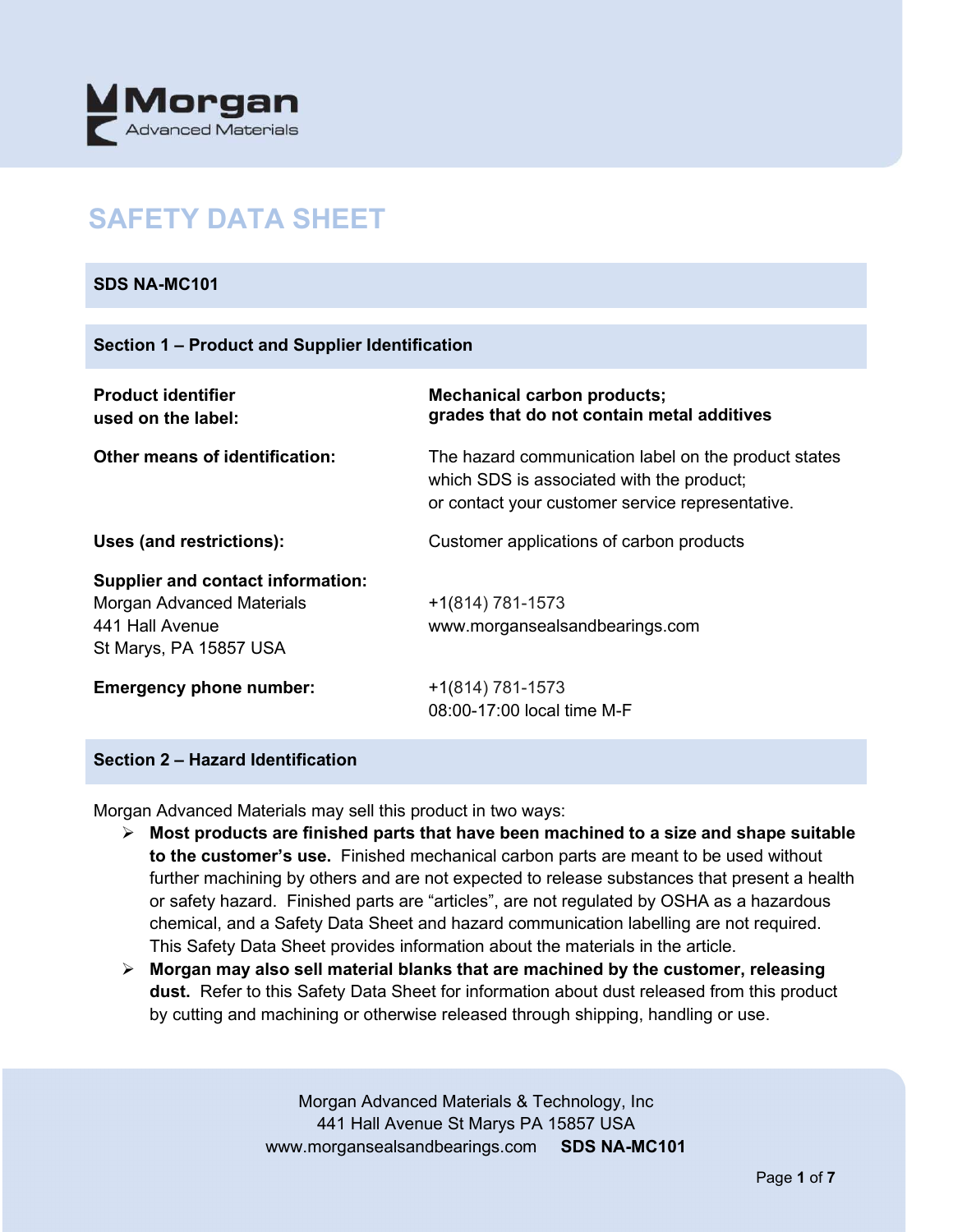

# **SAFETY DATA SHEET**

## **SDS NA-MC101**

| <b>Product identifier</b><br>used on the label:                                                                           | <b>Mechanical carbon products;</b><br>grades that do not contain metal additives                                                                      |
|---------------------------------------------------------------------------------------------------------------------------|-------------------------------------------------------------------------------------------------------------------------------------------------------|
| <b>Other means of identification:</b>                                                                                     | The hazard communication label on the product states<br>which SDS is associated with the product;<br>or contact your customer service representative. |
| Uses (and restrictions):                                                                                                  | Customer applications of carbon products                                                                                                              |
| <b>Supplier and contact information:</b><br><b>Morgan Advanced Materials</b><br>441 Hall Avenue<br>St Marys, PA 15857 USA | +1(814) 781-1573<br>www.morgansealsandbearings.com                                                                                                    |
| <b>Emergency phone number:</b>                                                                                            | $+1(814) 781-1573$<br>08:00-17:00 local time M-F                                                                                                      |

## **Section 2 – Hazard Identification**

Morgan Advanced Materials may sell this product in two ways:

- **Most products are finished parts that have been machined to a size and shape suitable to the customer's use.** Finished mechanical carbon parts are meant to be used without further machining by others and are not expected to release substances that present a health or safety hazard. Finished parts are "articles", are not regulated by OSHA as a hazardous chemical, and a Safety Data Sheet and hazard communication labelling are not required. This Safety Data Sheet provides information about the materials in the article.
- **Morgan may also sell material blanks that are machined by the customer, releasing dust.** Refer to this Safety Data Sheet for information about dust released from this product by cutting and machining or otherwise released through shipping, handling or use.

Morgan Advanced Materials & Technology, Inc 441 Hall Avenue St Marys PA 15857 USA www.morgansealsandbearings.com **SDS NA-MC101**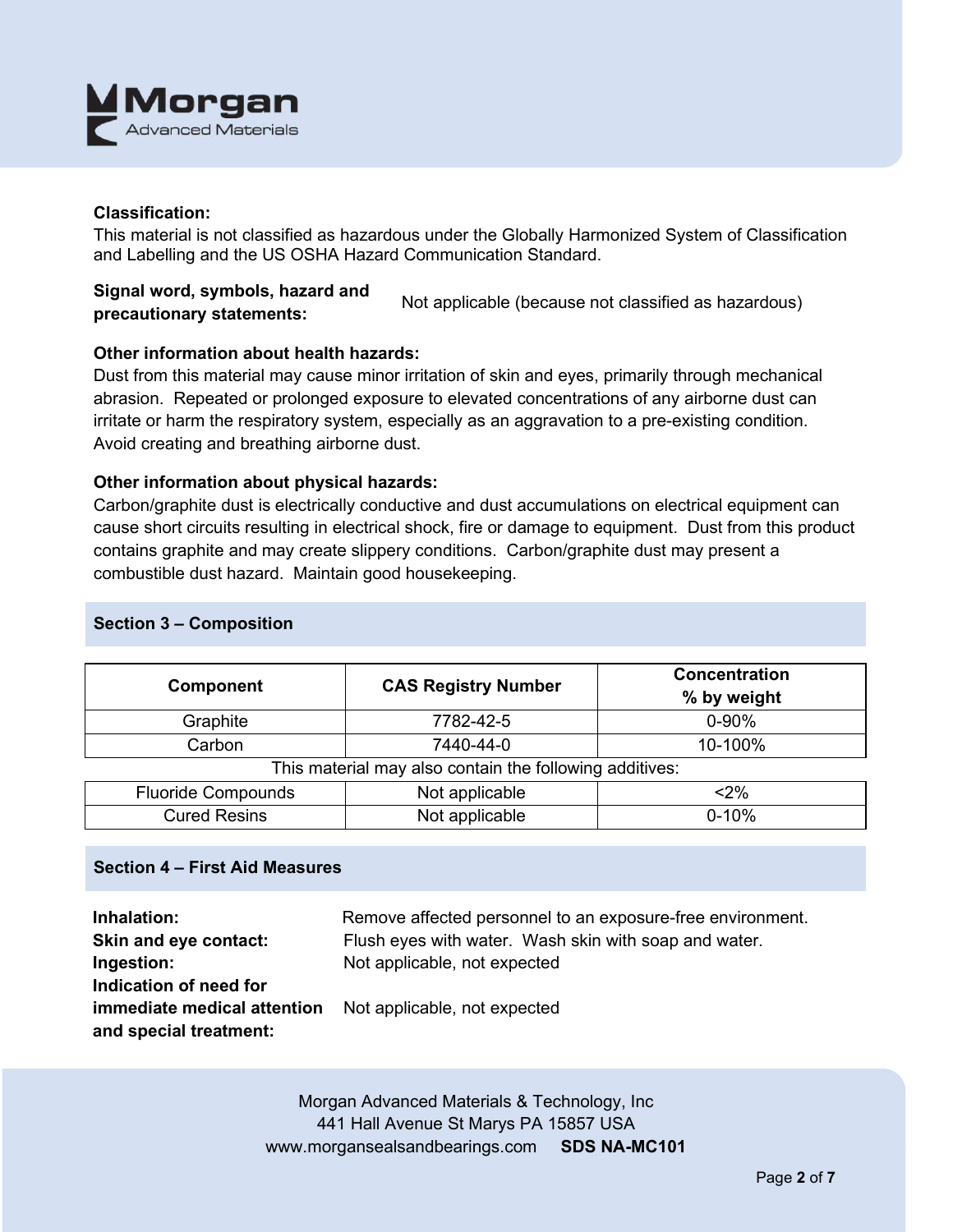

## **Classification:**

This material is not classified as hazardous under the Globally Harmonized System of Classification and Labelling and the US OSHA Hazard Communication Standard.

## **Signal word, symbols, hazard and precautionary statements:** Not applicable (because not classified as hazardous)

## **Other information about health hazards:**

Dust from this material may cause minor irritation of skin and eyes, primarily through mechanical abrasion. Repeated or prolonged exposure to elevated concentrations of any airborne dust can irritate or harm the respiratory system, especially as an aggravation to a pre-existing condition. Avoid creating and breathing airborne dust.

#### **Other information about physical hazards:**

Carbon/graphite dust is electrically conductive and dust accumulations on electrical equipment can cause short circuits resulting in electrical shock, fire or damage to equipment. Dust from this product contains graphite and may create slippery conditions. Carbon/graphite dust may present a combustible dust hazard. Maintain good housekeeping.

| Component                                               | <b>CAS Registry Number</b>  | <b>Concentration</b><br>% by weight |  |  |
|---------------------------------------------------------|-----------------------------|-------------------------------------|--|--|
| Graphite                                                | 7782-42-5                   | $0 - 90%$                           |  |  |
| Carbon                                                  | 7440-44-0                   | 10-100%                             |  |  |
| This material may also contain the following additives: |                             |                                     |  |  |
| <b>Fluoride Compounds</b>                               | Not applicable              | $<$ 2%                              |  |  |
| <b>Cured Resins</b>                                     | Not applicable<br>$0 - 10%$ |                                     |  |  |

## **Section 3 – Composition**

## **Section 4 – First Aid Measures**

| Inhalation:                 | Remove affected personnel to an exposure-free environment. |
|-----------------------------|------------------------------------------------------------|
| Skin and eye contact:       | Flush eyes with water. Wash skin with soap and water.      |
| Ingestion:                  | Not applicable, not expected                               |
| Indication of need for      |                                                            |
| immediate medical attention | Not applicable, not expected                               |
| and special treatment:      |                                                            |

Morgan Advanced Materials & Technology, Inc 441 Hall Avenue St Marys PA 15857 USA www.morgansealsandbearings.com **SDS NA-MC101**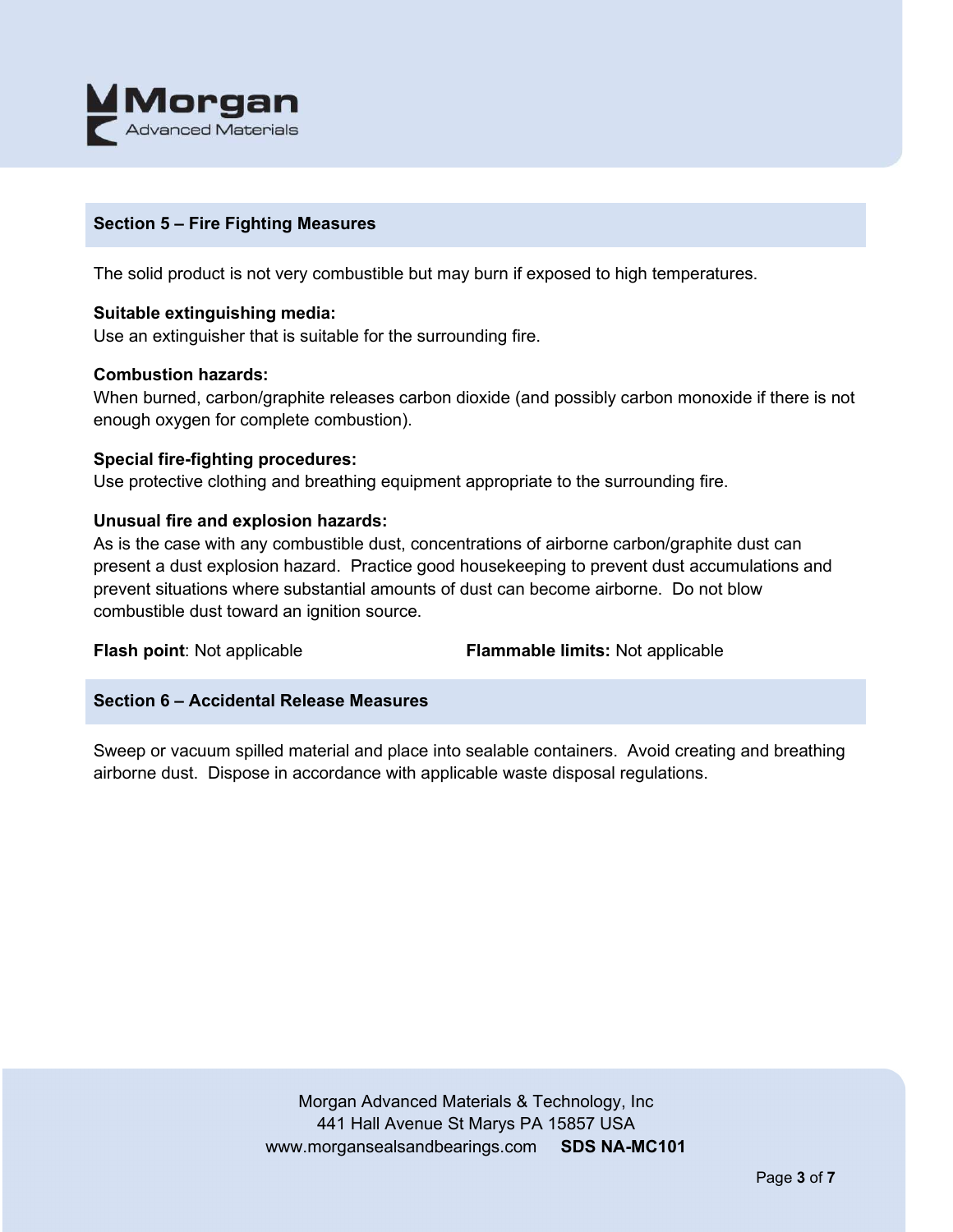

## **Section 5 – Fire Fighting Measures**

The solid product is not very combustible but may burn if exposed to high temperatures.

## **Suitable extinguishing media:**

Use an extinguisher that is suitable for the surrounding fire.

#### **Combustion hazards:**

When burned, carbon/graphite releases carbon dioxide (and possibly carbon monoxide if there is not enough oxygen for complete combustion).

#### **Special fire-fighting procedures:**

Use protective clothing and breathing equipment appropriate to the surrounding fire.

## **Unusual fire and explosion hazards:**

As is the case with any combustible dust, concentrations of airborne carbon/graphite dust can present a dust explosion hazard. Practice good housekeeping to prevent dust accumulations and prevent situations where substantial amounts of dust can become airborne. Do not blow combustible dust toward an ignition source.

**Flash point**: Not applicable **Flammable limits:** Not applicable

## **Section 6 – Accidental Release Measures**

Sweep or vacuum spilled material and place into sealable containers. Avoid creating and breathing airborne dust. Dispose in accordance with applicable waste disposal regulations.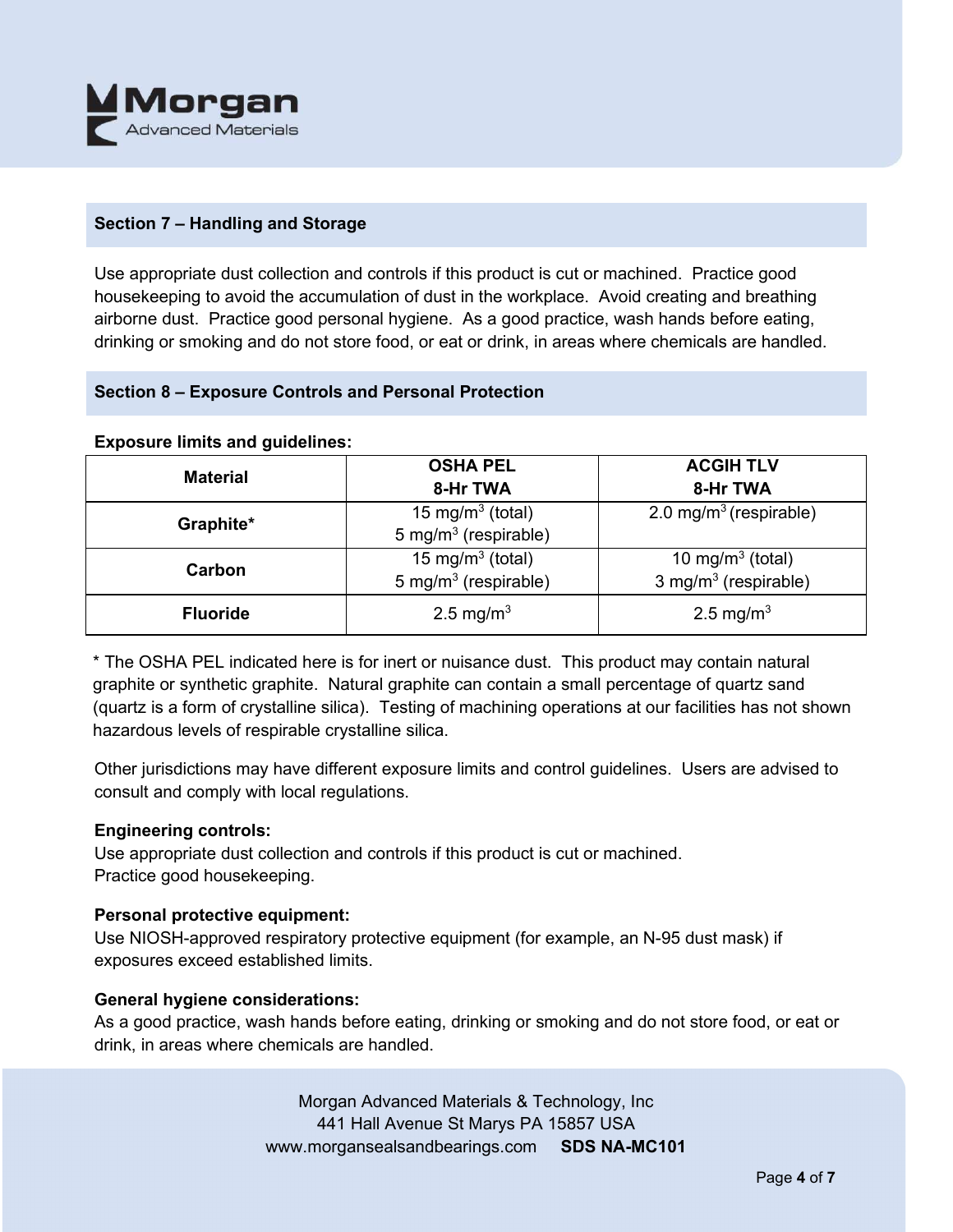

## **Section 7 – Handling and Storage**

Use appropriate dust collection and controls if this product is cut or machined. Practice good housekeeping to avoid the accumulation of dust in the workplace. Avoid creating and breathing airborne dust. Practice good personal hygiene. As a good practice, wash hands before eating, drinking or smoking and do not store food, or eat or drink, in areas where chemicals are handled.

## **Section 8 – Exposure Controls and Personal Protection**

#### **Exposure limits and guidelines:**

| <b>Material</b> | <b>OSHA PEL</b>                  | <b>ACGIH TLV</b>                   |
|-----------------|----------------------------------|------------------------------------|
|                 | 8-Hr TWA                         | 8-Hr TWA                           |
| Graphite*       | 15 mg/m <sup>3</sup> (total)     | 2.0 mg/m <sup>3</sup> (respirable) |
|                 | 5 mg/m <sup>3</sup> (respirable) |                                    |
| Carbon          | 15 mg/m <sup>3</sup> (total)     | 10 mg/m <sup>3</sup> (total)       |
|                 | 5 mg/m <sup>3</sup> (respirable) | 3 mg/m $3$ (respirable)            |
| <b>Fluoride</b> | 2.5 mg/m <sup>3</sup>            | 2.5 mg/m <sup>3</sup>              |
|                 |                                  |                                    |

\* The OSHA PEL indicated here is for inert or nuisance dust. This product may contain natural graphite or synthetic graphite. Natural graphite can contain a small percentage of quartz sand (quartz is a form of crystalline silica). Testing of machining operations at our facilities has not shown hazardous levels of respirable crystalline silica.

Other jurisdictions may have different exposure limits and control guidelines. Users are advised to consult and comply with local regulations.

#### **Engineering controls:**

Use appropriate dust collection and controls if this product is cut or machined. Practice good housekeeping.

#### **Personal protective equipment:**

Use NIOSH-approved respiratory protective equipment (for example, an N-95 dust mask) if exposures exceed established limits.

#### **General hygiene considerations:**

As a good practice, wash hands before eating, drinking or smoking and do not store food, or eat or drink, in areas where chemicals are handled.

> Morgan Advanced Materials & Technology, Inc 441 Hall Avenue St Marys PA 15857 USA www.morgansealsandbearings.com **SDS NA-MC101**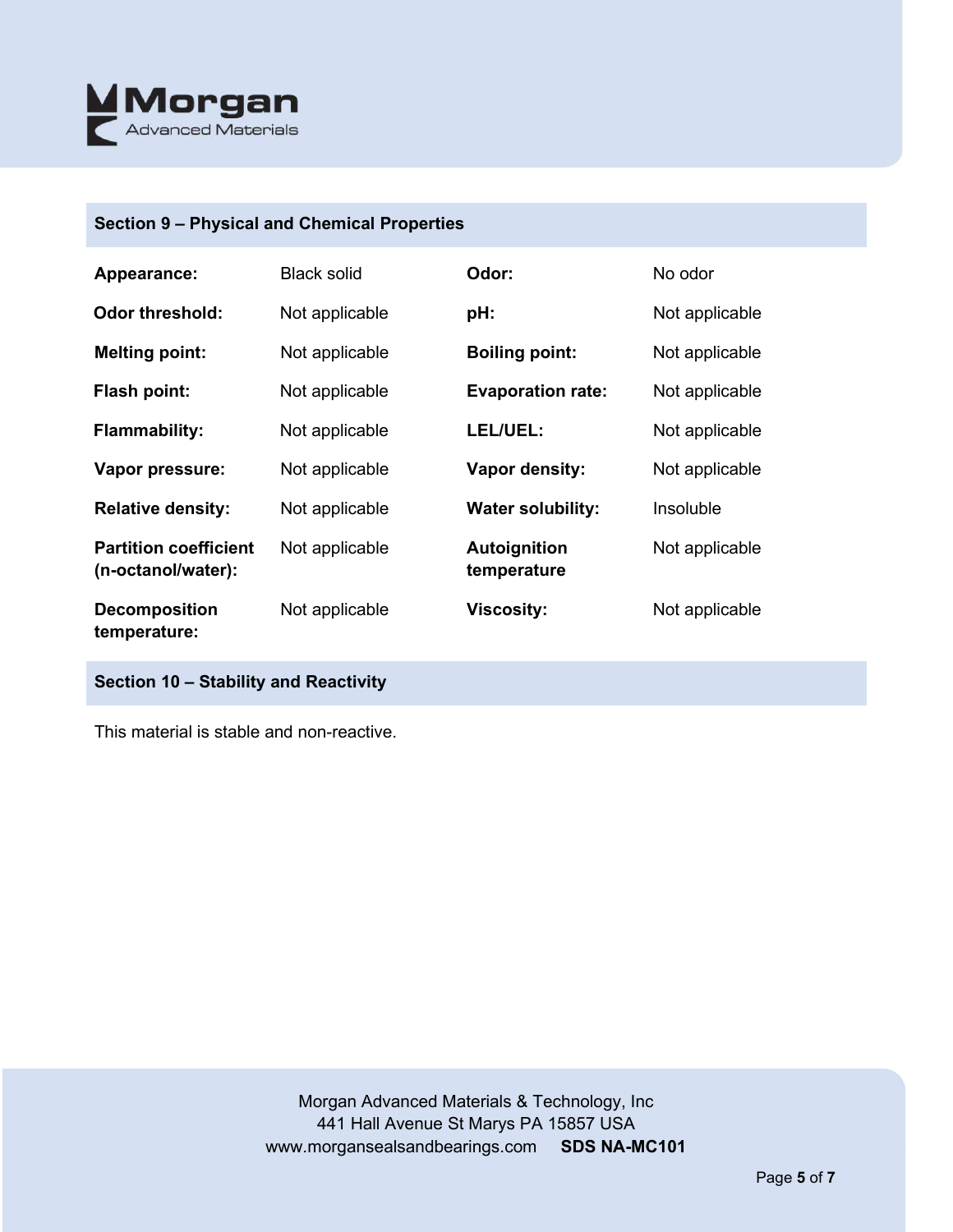

## **Section 9 – Physical and Chemical Properties**

| Appearance:                                        | <b>Black solid</b> | Odor:                       | No odor        |
|----------------------------------------------------|--------------------|-----------------------------|----------------|
| <b>Odor threshold:</b>                             | Not applicable     | pH:                         | Not applicable |
| <b>Melting point:</b>                              | Not applicable     | <b>Boiling point:</b>       | Not applicable |
| Flash point:                                       | Not applicable     | <b>Evaporation rate:</b>    | Not applicable |
| <b>Flammability:</b>                               | Not applicable     | LEL/UEL:                    | Not applicable |
| Vapor pressure:                                    | Not applicable     | <b>Vapor density:</b>       | Not applicable |
| <b>Relative density:</b>                           | Not applicable     | <b>Water solubility:</b>    | Insoluble      |
| <b>Partition coefficient</b><br>(n-octanol/water): | Not applicable     | Autoignition<br>temperature | Not applicable |
| <b>Decomposition</b><br>temperature:               | Not applicable     | <b>Viscosity:</b>           | Not applicable |

# **Section 10 – Stability and Reactivity**

This material is stable and non-reactive.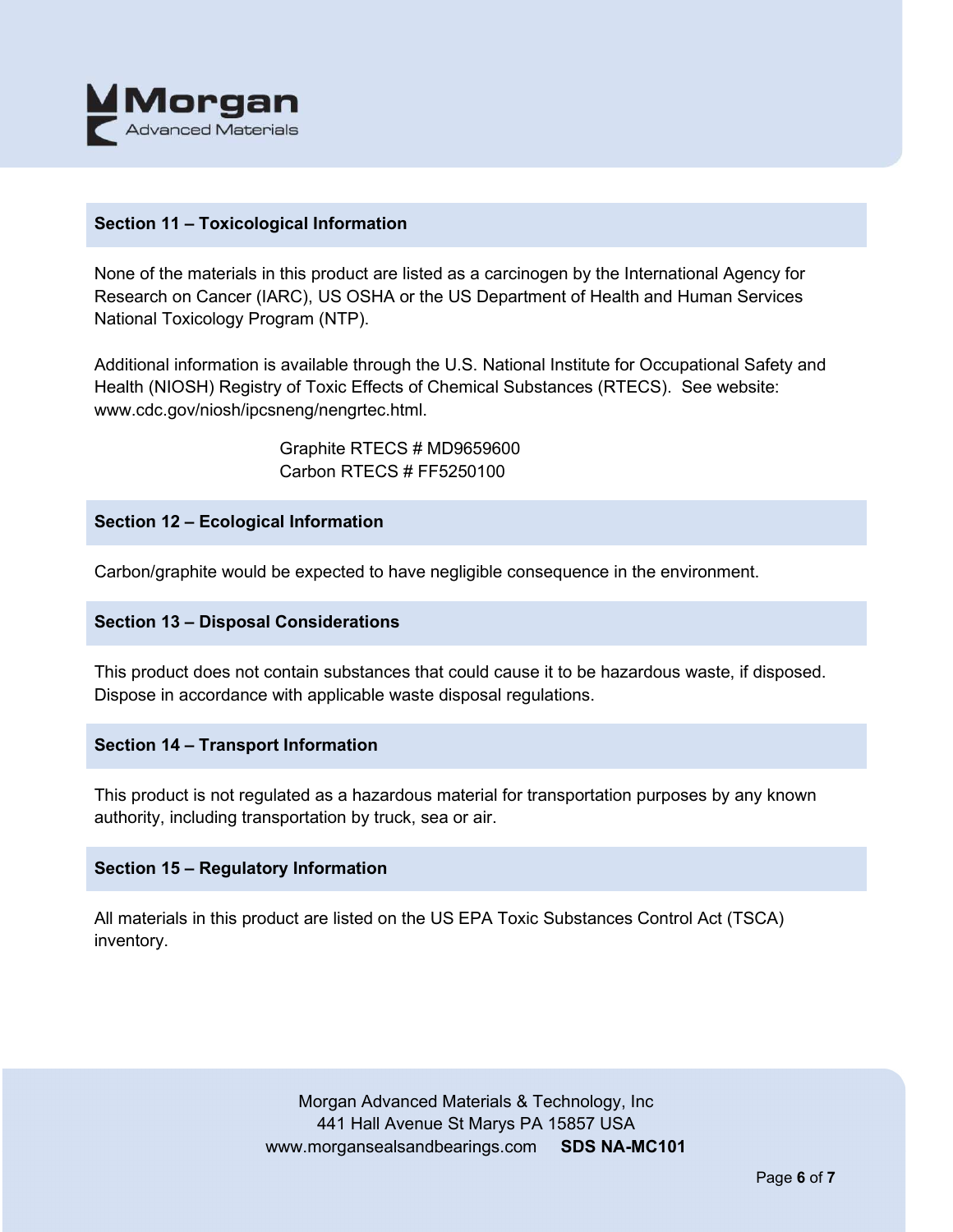

## **Section 11 – Toxicological Information**

None of the materials in this product are listed as a carcinogen by the International Agency for Research on Cancer (IARC), US OSHA or the US Department of Health and Human Services National Toxicology Program (NTP).

Additional information is available through the U.S. National Institute for Occupational Safety and Health (NIOSH) Registry of Toxic Effects of Chemical Substances (RTECS). See website: www.cdc.gov/niosh/ipcsneng/nengrtec.html.

> Graphite RTECS # MD9659600 Carbon RTECS # FF5250100

## **Section 12 – Ecological Information**

Carbon/graphite would be expected to have negligible consequence in the environment.

#### **Section 13 – Disposal Considerations**

This product does not contain substances that could cause it to be hazardous waste, if disposed. Dispose in accordance with applicable waste disposal regulations.

#### **Section 14 – Transport Information**

This product is not regulated as a hazardous material for transportation purposes by any known authority, including transportation by truck, sea or air.

## **Section 15 – Regulatory Information**

All materials in this product are listed on the US EPA Toxic Substances Control Act (TSCA) inventory.